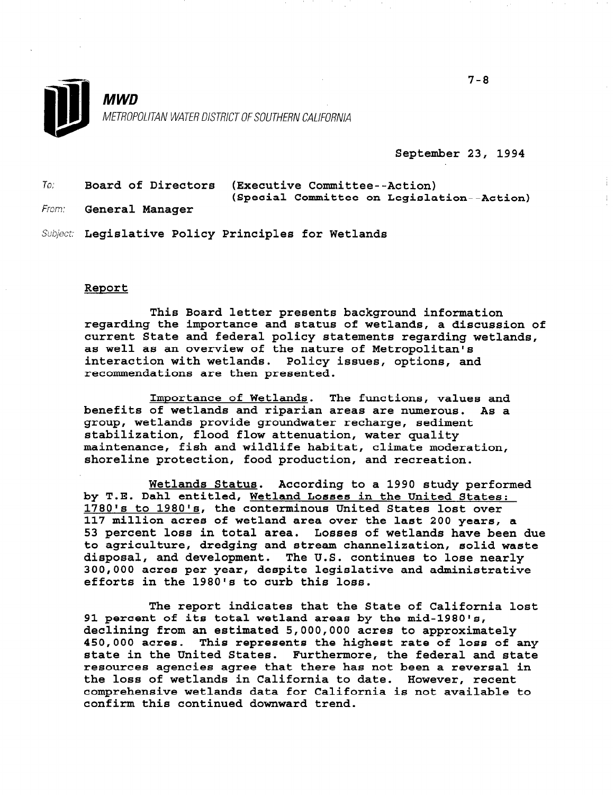

September 23, 1994

| To: |                                                      | Board of Directors (Executive Committee--Action) |
|-----|------------------------------------------------------|--------------------------------------------------|
|     |                                                      | (Special Committee on Legislation--Action)       |
|     | $E_{\text{conv}} = \sigma_{\text{conv}} = 1$ Mensens |                                                  |

From: **General Manager** 

Subject: Legislative Policy Principles for Wetlands

## Report

This Board letter presents background information regarding the importance and status of wetlands, a discussion of current State and federal policy statements regarding wetlands, as well as an overview of the nature of Metropolitan's interaction with wetlands. Policy issues, options, and recommendations are then presented.

Importance of Wetlands. The functions, values and benefits of wetlands and riparian areas are numerous. As a group, wetlands provide groundwater recharge, sediment stabilization, flood flow attenuation, water quality maintenance, fish and wildlife habitat, climate moderation, shoreline protection, food production, and recreation.

Wetlands Status. According to a 1990 study performed by T.E. Dahl entitled, Wetland Losses in the United States: 1780's to 1980's, the conterminous United States lost over 117 million acres of wetland area over the last 200 years, a 53 percent loss in total area. Losses of wetlands have been due to agriculture, dredging and stream channelization, solid waste disposal, and development. The U.S. continues to lose nearly 300,000 acres per year, despite legislative and administrative efforts in the 1980's to curb this loss.

The report indicates that the State of California lost 91 percent of its total wetland areas by the mid-1980's, declining from an estimated 5,000,000 acres to approximately decriming from an escimated b,000,000 acres to approximately spot on actes. Inte represents the induest rate of loss of an state in the United States. Furthermore, the federal and state<br>resources agencies agree that there has not been a reversal in the loss of wetlands in the loss of weight we have the california to define the california to define the contr<br>... che loss of wetlands in California to date. However, letent comprehensive wetlands data for California is not available to confirm this continued downward trend.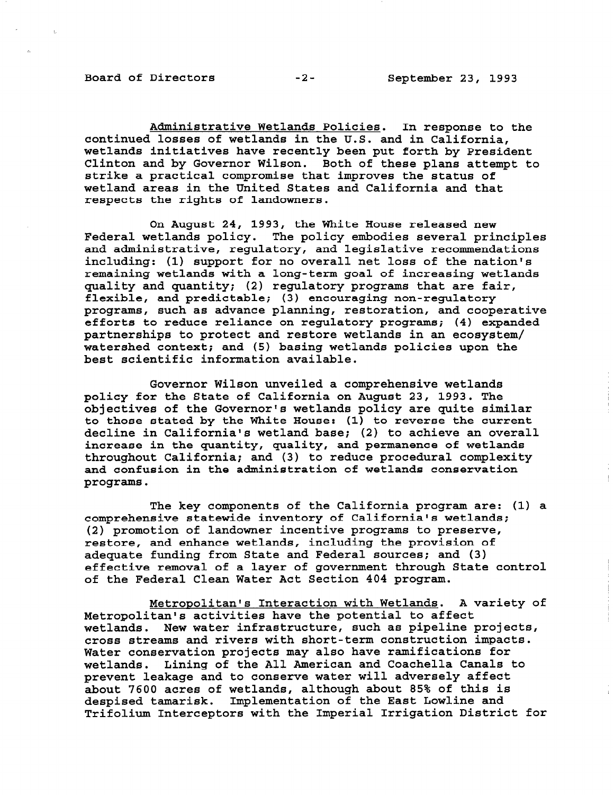Board of Directors -2- September 23, 1993

Administrative Wetlands Policies. In response to the continued losses of wetlands in the U.S. and in California, wetlands initiatives have recently been put forth by President Clinton and by Governor Wilson. Both of these plans attempt to strike a practical compromise that improves the status of wetland areas in the United States and California and that respects the rights of landowners.

On August 24, 1993, the White House released new Federal wetlands policy. The policy embodies several principles and administrative, regulatory, and legislative recommendations including: (1) support for no overall net loss of the nation's remaining wetlands with a long-term goal of increasing wetlands quality and quantity; (2) regulatory programs that are fair, flexible, and predictable; (3) encouraging non-regulatory programs, such as advance planning, restoration, and cooperative efforts to reduce reliance on regulatory programs; (4) expanded partnerships to protect and restore wetlands in an ecosystem/ watershed context; and (5) basing wetlands policies upon the best scientific information available.

Governor Wilson unveiled a comprehensive wetlands policy for the State of California on August 23, 1993. The objectives of the Governor's wetlands policy are quite similar to those stated by the White House: (1) to reverse the current decline in California's wetland base; (2) to achieve an overall increase in the quantity, quality, and permanence of wetlands throughout California; and (3) to reduce procedural complexity and confusion in the administration of wetlands conservation programs.

The key components of the California program are: (1) a comprehensive statewide inventory of California's wetlands; (2) promotion of landowner incentive programs to preserve, restore, and enhance wetlands, including the provision of adequate funding from State and Federal sources; and (3) effective removal of a layer of government through State control of the Federal Clean Water Act Section 404 program.

Metropolitan's Interaction with Wetlands. A variety of Metropolitan's activities have the potential to affect wetlands. New water infrastructure, such as pipeline projects, cross streams and rivers with short-term construction impacts. Water conservation projects may also have ramifications for wetlands. Lining of the All American and Coachella Canals to wettands. Dining of the All American and Codeneira Canadi prevent fearage and to conserve water will adversely affect depoir you acres of wettands, atthough about 05% of this i despised camarisk. Implementation of the Last how line and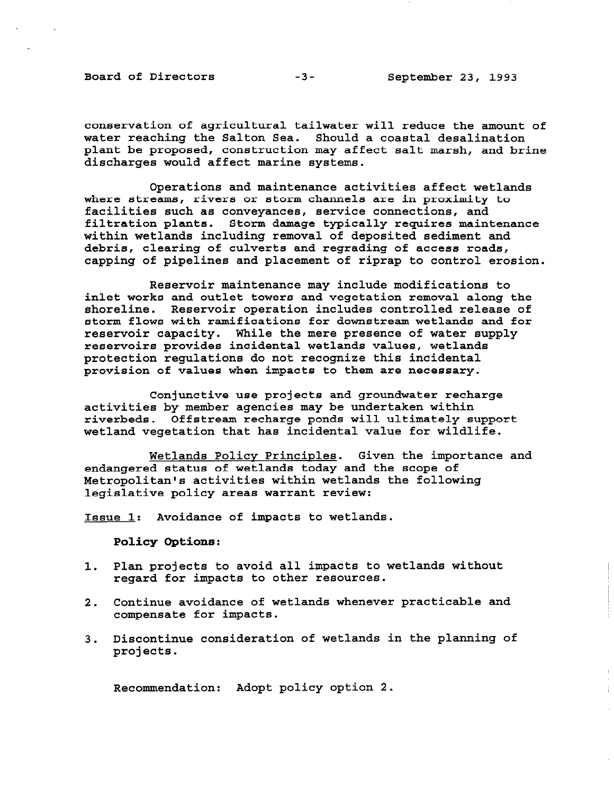Board of Directors -3- September 23, 1993

conservation of agricultural tailwater will reduce the amount of water reaching the Salton Sea. Should a coastal desalination plant be proposed, construction may affect salt marsh, and brine discharges would affect marine systems.

Operations and maintenance activities affect wetlands where streams, rivers or storm channels are in proximity to facilities such as conveyances, service connections, and filtration plants. Storm damage typically requires maintenance within wetlands including removal of deposited sediment and debris, clearing of culverts and regrading of access roads, capping of pipelines and placement of riprap to control erosion.

Reservoir maintenance may include modifications to inlet works and outlet towers and vegetation removal along the shoreline. Reservoir operation includes controlled release of storm flows with ramifications for downstream wetlands and for reservoir capacity. While the mere presence of water supply reservoirs provides incidental wetlands values, wetlan protection regulations do not recognize this incidental provision of values when impacts to them are necessary.

Conjunctive use projects and groundwater recharge activities by member agencies may be undertaken within riverbeds. Offstream recharge ponds will ultimately support wetland vegetation that has incidental value for wildlife.

Wetlands Policy Principles. Given the importance and endangered status of wetlands today and the scope of Metropolitan's activities within wetlands the following legislative policy areas warrant review:

Issue 1: Avoidance of impacts to wetlands.

Policy Options:

- 1. Plan projects to avoid all impacts to wetlands without regard for impacts to other resources.
- 2. Continue avoidance of wetlands whenever practicable and compensate for impacts.
- 3. Discontinue consideration of wetlands in the planning of projects.

Recommendation: Adopt policy option 2.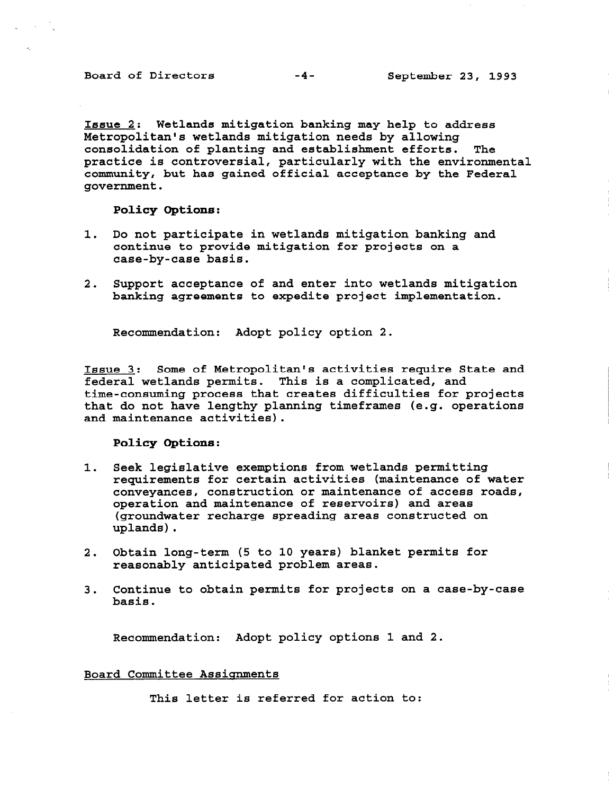Board of Directors -4- September 23, 1993

Issue 2: Wetlands mitigation banking may help to address Metropolitan's wetlands mitigation needs by allowing consolidation of planting and establishment efforts. The practice is controversial, particularly with the environmental community, but has gained official acceptance by the Federal government.

Policy Options:

- 1. Do not participate in wetlands mitigation banking and continue to provide mitigation for projects on a case-by-case basis.
- 2. Support acceptance of and enter into wetlands mitigation banking agreements to expedite project implementation.

Recommendation: Adopt policy option 2.

Issue 3: Some of Metropolitan's activities require State and federal wetlands permits. This is a complicated, and time-consuming process that creates difficulties for projects that do not have lengthy planning timeframes (e.g. operations and maintenance activities).

Policy Options:

- 1. Seek legislative exemptions from wetlands permitting requirements for certain activities (maintenance of water conveyances, construction or maintenance of access roads, operation and maintenance of reservoirs) and areas (groundwater recharge spreading areas constructed on uplands).
- 2. Obtain long-term (5 to 10 years) blanket permits for reasonably anticipated problem areas.
- 3. Continue to obtain permits for projects on a case-by-case uuru<br>1. . . .

Recommendation: Adopt policy options 1 and 2.

## Board Committee Assignments

This letter is referred for action to: